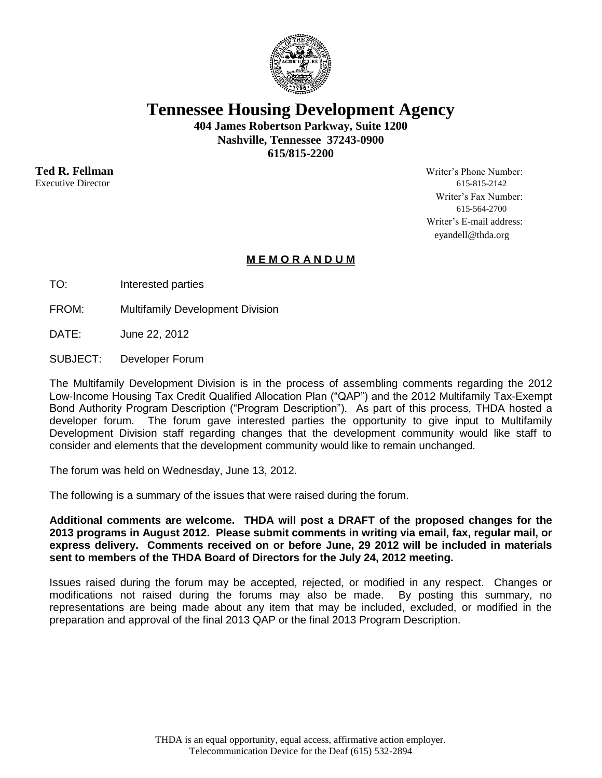

**Tennessee Housing Development Agency**

**404 James Robertson Parkway, Suite 1200 Nashville, Tennessee 37243-0900 615/815-2200**

**Ted R. Fellman** Writer's Phone Number: Executive Director 615-815-2142 Writer's Fax Number: 615-564-2700 Writer's E-mail address: eyandell@thda.org

## **M E M O R A N D U M**

TO: Interested parties

FROM: Multifamily Development Division

DATE: June 22, 2012

SUBJECT: Developer Forum

The Multifamily Development Division is in the process of assembling comments regarding the 2012 Low-Income Housing Tax Credit Qualified Allocation Plan ("QAP") and the 2012 Multifamily Tax-Exempt Bond Authority Program Description ("Program Description"). As part of this process, THDA hosted a developer forum. The forum gave interested parties the opportunity to give input to Multifamily Development Division staff regarding changes that the development community would like staff to consider and elements that the development community would like to remain unchanged.

The forum was held on Wednesday, June 13, 2012.

The following is a summary of the issues that were raised during the forum.

**Additional comments are welcome. THDA will post a DRAFT of the proposed changes for the 2013 programs in August 2012. Please submit comments in writing via email, fax, regular mail, or express delivery. Comments received on or before June, 29 2012 will be included in materials sent to members of the THDA Board of Directors for the July 24, 2012 meeting.**

Issues raised during the forum may be accepted, rejected, or modified in any respect. Changes or modifications not raised during the forums may also be made. By posting this summary, no representations are being made about any item that may be included, excluded, or modified in the preparation and approval of the final 2013 QAP or the final 2013 Program Description.